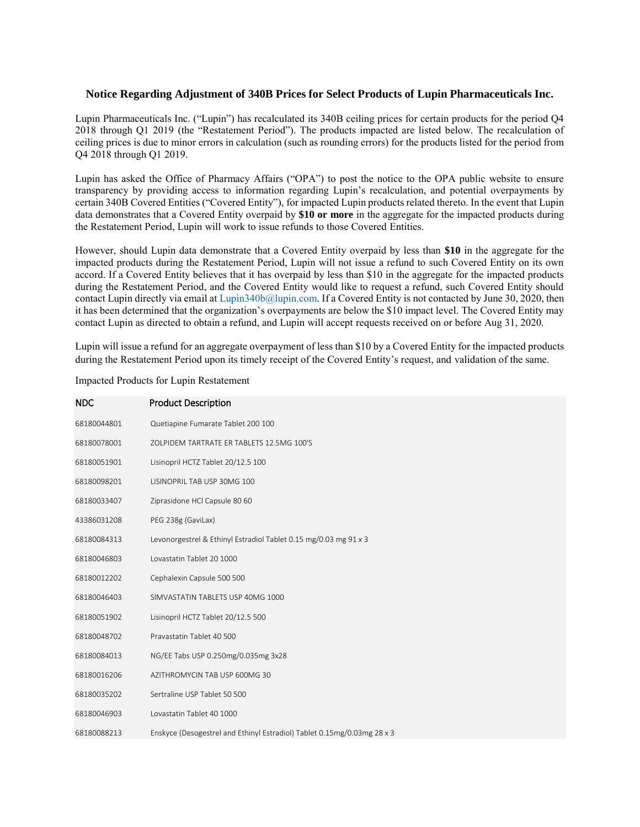## **Notice Regarding Adjustment of 340B Prices for Select Products of Lupin Pharmaceuticals Inc.**

Lupin Pharmaceuticals Inc. ("Lupin") has recalculated its 340B ceiling prices for certain products for the period Q4 2018 through Q1 2019 (the "Restatement Period"). The products impacted are listed below. The recalculation of ceiling prices is due to minor errors in calculation (such as rounding errors) for the products listed for the period from Q4 2018 through Q1 2019.

Lupin has asked the Office of Pharmacy Affairs ("OPA") to post the notice to the OPA public website to ensure transparency by providing access to information regarding Lupin's recalculation, and potential overpayments by certain 340B Covered Entities ("Covered Entity"), for impacted Lupin products related thereto. In the event that Lupin data demonstrates that a Covered Entity overpaid by **\$10 or more** in the aggregate for the impacted products during the Restatement Period, Lupin will work to issue refunds to those Covered Entities.

However, should Lupin data demonstrate that a Covered Entity overpaid by less than **\$10** in the aggregate for the impacted products during the Restatement Period, Lupin will not issue a refund to such Covered Entity on its own accord. If a Covered Entity believes that it has overpaid by less than \$10 in the aggregate for the impacted products during the Restatement Period, and the Covered Entity would like to request a refund, such Covered Entity should contact Lupin directly via email at Lupin340b@lupin.com. If a Covered Entity is not contacted by June 30, 2020, then it has been determined that the organization's overpayments are below the \$10 impact level. The Covered Entity may contact Lupin as directed to obtain a refund, and Lupin will accept requests received on or before Aug 31, 2020.

Lupin will issue a refund for an aggregate overpayment of less than \$10 by a Covered Entity for the impacted products during the Restatement Period upon its timely receipt of the Covered Entity's request, and validation of the same.

| <b>NDC</b>  | <b>Product Description</b>                                              |
|-------------|-------------------------------------------------------------------------|
| 68180044801 | Quetiapine Fumarate Tablet 200 100                                      |
| 68180078001 | ZOLPIDEM TARTRATE ER TABLETS 12.5MG 100'S                               |
| 68180051901 | Lisinopril HCTZ Tablet 20/12.5 100                                      |
| 68180098201 | LISINOPRIL TAB USP 30MG 100                                             |
| 68180033407 | Ziprasidone HCl Capsule 80 60                                           |
| 43386031208 | PEG 238g (GaviLax)                                                      |
| 68180084313 | Levonorgestrel & Ethinyl Estradiol Tablet 0.15 mg/0.03 mg 91 x 3        |
| 68180046803 | Lovastatin Tablet 20 1000                                               |
| 68180012202 | Cephalexin Capsule 500 500                                              |
| 68180046403 | SIMVASTATIN TABLETS USP 40MG 1000                                       |
| 68180051902 | Lisinopril HCTZ Tablet 20/12.5 500                                      |
| 68180048702 | Pravastatin Tablet 40 500                                               |
| 68180084013 | NG/EE Tabs USP 0.250mg/0.035mg 3x28                                     |
| 68180016206 | AZITHROMYCIN TAB USP 600MG 30                                           |
| 68180035202 | Sertraline USP Tablet 50 500                                            |
| 68180046903 | Lovastatin Tablet 40 1000                                               |
| 68180088213 | Enskyce (Desogestrel and Ethinyl Estradiol) Tablet 0.15mg/0.03mg 28 x 3 |

Impacted Products for Lupin Restatement